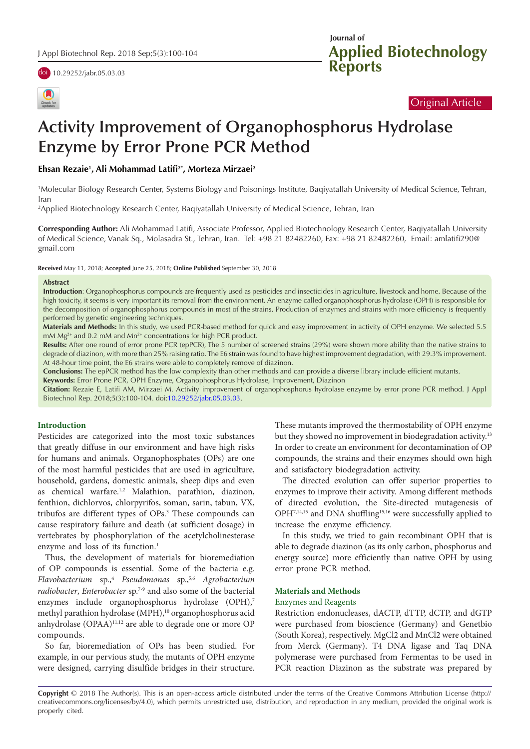



**Applied Biotechnology Reports Journal of** 

## Original Article

# **Activity Improvement of Organophosphorus Hydrolase Enzyme by Error Prone PCR Method**

## **Ehsan Rezaie1 , Ali Mohammad Latifi2\*, Morteza Mirzaei2**

1 Molecular Biology Research Center, Systems Biology and Poisonings Institute, Baqiyatallah University of Medical Science, Tehran, Iran

2 Applied Biotechnology Research Center, Baqiyatallah University of Medical Science, Tehran, Iran

**Corresponding Author:** Ali Mohammad Latifi, Associate Professor, Applied Biotechnology Research Center, Baqiyatallah University of Medical Science, Vanak Sq., Molasadra St., Tehran, Iran. Tel: +98 21 82482260, Fax: +98 21 82482260, Email: amlatifi290@ gmail.com

**Received** May 11, 2018; **Accepted** June 25, 2018; **Online Published** September 30, 2018

#### **Abstract**

**Introduction**: Organophosphorus compounds are frequently used as pesticides and insecticides in agriculture, livestock and home. Because of the high toxicity, it seems is very important its removal from the environment. An enzyme called organophosphorus hydrolase (OPH) is responsible for the decomposition of organophosphorus compounds in most of the strains. Production of enzymes and strains with more efficiency is frequently performed by genetic engineering techniques.

**Materials and Methods:** In this study, we used PCR-based method for quick and easy improvement in activity of OPH enzyme. We selected 5.5 mM  $Mg^{2+}$  and 0.2 mM and  $Mn^{2+}$  concentrations for high PCR product.

**Results:** After one round of error prone PCR (epPCR), The 5 number of screened strains (29%) were shown more ability than the native strains to degrade of diazinon, with more than 25% raising ratio. The E6 strain was found to have highest improvement degradation, with 29.3% improvement. At 48-hour time point, the E6 strains were able to completely remove of diazinon.

**Conclusions:** The epPCR method has the low complexity than other methods and can provide a diverse library include efficient mutants.

**Keywords:** Error Prone PCR, OPH Enzyme, Organophosphorus Hydrolase, Improvement, Diazinon

**Citation:** Rezaie E, Latifi AM, Mirzaei M. Activity improvement of organophosphorus hydrolase enzyme by error prone PCR method. J Appl Biotechnol Rep. 2018;5(3):100-104. doi[:10.29252/jabr.05.03.03](https://doi.org/10.29252/jabr.05.03.03).

## **Introduction**

Pesticides are categorized into the most toxic substances that greatly diffuse in our environment and have high risks for humans and animals. Organophosphates (OPs) are one of the most harmful pesticides that are used in agriculture, household, gardens, domestic animals, sheep dips and even as chemical warfare.<sup>1,2</sup> Malathion, parathion, diazinon, fenthion, dichlorvos, chlorpyrifos, soman, sarin, tabun, VX, tribufos are different types of OPs.3 These compounds can cause respiratory failure and death (at sufficient dosage) in vertebrates by phosphorylation of the acetylcholinesterase enzyme and loss of its function.<sup>1</sup>

Thus, the development of materials for bioremediation of OP compounds is essential. Some of the bacteria e.g. *Flavobacterium* sp.,4 *Pseudomonas* sp.,5,6 *Agrobacterium radiobacter*, *Enterobacter* sp.7-9 and also some of the bacterial enzymes include organophosphorus hydrolase (OPH),7 methyl parathion hydrolase (MPH),<sup>10</sup> organophosphorus acid anhydrolase (OPAA)11,12 are able to degrade one or more OP compounds.

So far, bioremediation of OPs has been studied. For example, in our pervious study, the mutants of OPH enzyme were designed, carrying disulfide bridges in their structure. These mutants improved the thermostability of OPH enzyme but they showed no improvement in biodegradation activity.<sup>13</sup> In order to create an environment for decontamination of OP compounds, the strains and their enzymes should own high and satisfactory biodegradation activity.

The directed evolution can offer superior properties to enzymes to improve their activity. Among different methods of directed evolution, the Site-directed mutagenesis of OPH7,14,15 and DNA shuffling15,16 were successfully applied to increase the enzyme efficiency.

In this study, we tried to gain recombinant OPH that is able to degrade diazinon (as its only carbon, phosphorus and energy source) more efficiently than native OPH by using error prone PCR method.

#### **Materials and Methods**

#### Enzymes and Reagents

Restriction endonucleases, dACTP, dTTP, dCTP, and dGTP were purchased from bioscience (Germany) and Genetbio (South Korea), respectively. MgCl2 and MnCl2 were obtained from Merck (Germany). T4 DNA ligase and Taq DNA polymerase were purchased from Fermentas to be used in PCR reaction Diazinon as the substrate was prepared by

**Copyright** © 2018 The Author(s). This is an open-access article distributed under the terms of the Creative Commons Attribution License (http:// creativecommons.org/licenses/by/4.0), which permits unrestricted use, distribution, and reproduction in any medium, provided the original work is properly cited.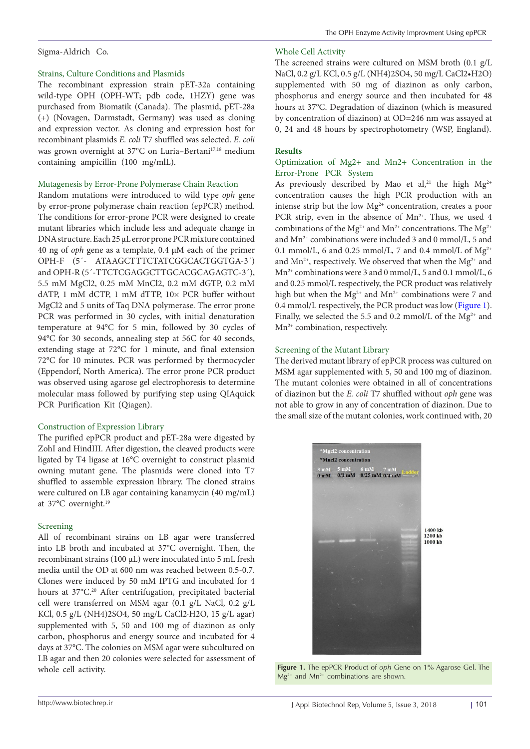## Sigma-Aldrich Co.

## Strains, Culture Conditions and Plasmids

The recombinant expression strain pET-32a containing wild-type OPH (OPH-WT; pdb code, 1HZY) gene was purchased from Biomatik (Canada). The plasmid, pET-28a (+) (Novagen, Darmstadt, Germany) was used as cloning and expression vector. As cloning and expression host for recombinant plasmids *E. coli* T7 shuffled was selected. *E. coli* was grown overnight at 37°C on Luria-Bertani<sup>17,18</sup> medium containing ampicillin (100 mg/mlL).

## Mutagenesis by Error-Prone Polymerase Chain Reaction

Random mutations were introduced to wild type *oph* gene by error-prone polymerase chain reaction (epPCR) method. The conditions for error-prone PCR were designed to create mutant libraries which include less and adequate change in DNA structure. Each 25 µL error prone PCR mixture contained 40 ng of *oph* gene as a template, 0.4 µM each of the primer OPH-F (5´- ATAAGCTTTCTATCGGCACTGGTGA-3´) and OPH-R (5´-TTCTCGAGGCTTGCACGCAGAGTC-3´), 5.5 mM MgCl2, 0.25 mM MnCl2, 0.2 mM dGTP, 0.2 mM dATP, 1 mM dCTP, 1 mM dTTP, 10× PCR buffer without MgCl2 and 5 units of Taq DNA polymerase. The error prone PCR was performed in 30 cycles, with initial denaturation temperature at 94°C for 5 min, followed by 30 cycles of 94°C for 30 seconds, annealing step at 56C for 40 seconds, extending stage at 72°C for 1 minute, and final extension 72°C for 10 minutes. PCR was performed by thermocycler (Eppendorf, North America). The error prone PCR product was observed using agarose gel electrophoresis to determine molecular mass followed by purifying step using QIAquick PCR Purification Kit (Qiagen).

## Construction of Expression Library

The purified epPCR product and pET-28a were digested by ZohI and HindIII. After digestion, the cleaved products were ligated by T4 ligase at 16°C overnight to construct plasmid owning mutant gene. The plasmids were cloned into T7 shuffled to assemble expression library. The cloned strains were cultured on LB agar containing kanamycin (40 mg/mL) at 37°C overnight.19

## Screening

All of recombinant strains on LB agar were transferred into LB broth and incubated at 37°C overnight. Then, the recombinant strains (100 µL) were inoculated into 5 mL fresh media until the OD at 600 nm was reached between 0.5-0.7. Clones were induced by 50 mM IPTG and incubated for 4 hours at 37°C.<sup>20</sup> After centrifugation, precipitated bacterial cell were transferred on MSM agar (0.1 g/L NaCl, 0.2 g/L KCl, 0.5 g/L (NH4)2SO4, 50 mg/L CaCl2·H2O, 15 g/L agar) supplemented with 5, 50 and 100 mg of diazinon as only carbon, phosphorus and energy source and incubated for 4 days at 37°C. The colonies on MSM agar were subcultured on LB agar and then 20 colonies were selected for assessment of whole cell activity.

## Whole Cell Activity

The screened strains were cultured on MSM broth (0.1 g/L NaCl, 0.2 g/L KCl, 0.5 g/L (NH4)2SO4, 50 mg/L CaCl2•H2O) supplemented with 50 mg of diazinon as only carbon, phosphorus and energy source and then incubated for 48 hours at 37°C. Degradation of diazinon (which is measured by concentration of diazinon) at OD=246 nm was assayed at 0, 24 and 48 hours by spectrophotometry (WSP, England).

## **Results**

## Optimization of Mg2+ and Mn2+ Concentration in the Error-Prone PCR System

As previously described by Mao et al,<sup>21</sup> the high  $Mg^{2+}$ concentration causes the high PCR production with an intense strip but the low  $Mg^{2+}$  concentration, creates a poor PCR strip, even in the absence of  $Mn^{2+}$ . Thus, we used 4 combinations of the Mg<sup>2+</sup> and Mn<sup>2+</sup> concentrations. The Mg<sup>2+</sup> and Mn2+ combinations were included 3 and 0 mmol/L, 5 and 0.1 mmol/L, 6 and 0.25 mmol/L, 7 and 0.4 mmol/L of  $Mg^{2+}$ and  $Mn^{2+}$ , respectively. We observed that when the  $Mg^{2+}$  and Mn2+ combinations were 3 and 0 mmol/L, 5 and 0.1 mmol/L, 6 and 0.25 mmol/L respectively, the PCR product was relatively high but when the  $\rm Mg^{2+}$  and  $\rm Mn^{2+}$  combinations were 7 and 0.4 mmol/L respectively, the PCR product was low [\(Figure 1](#page-1-0)). Finally, we selected the 5.5 and 0.2 mmol/L of the  $Mg^{2+}$  and Mn<sup>2+</sup> combination, respectively.

## Screening of the Mutant Library

The derived mutant library of epPCR process was cultured on MSM agar supplemented with 5, 50 and 100 mg of diazinon. The mutant colonies were obtained in all of concentrations of diazinon but the *E. coli* T7 shuffled without *oph* gene was not able to grow in any of concentration of diazinon. Due to the small size of the mutant colonies, work continued with, 20

<span id="page-1-0"></span>

**Figure 1.** The epPCR Product of *oph* Gene on 1% Agarose Gel. The  $Mg^{2+}$  and  $Mn^{2+}$  combinations are shown.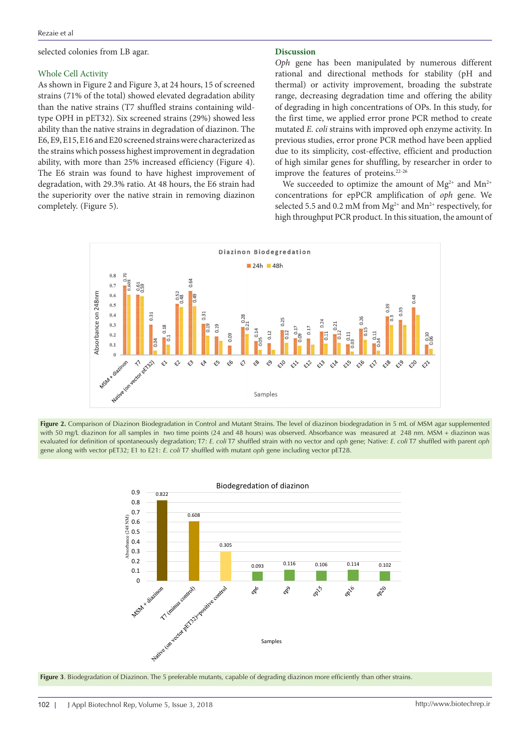selected colonies from LB agar.

#### Whole Cell Activity

As shown in Figure 2 and Figure 3, at 24 hours, 15 of screened strains (71% of the total) showed elevated degradation ability than the native strains (T7 shuffled strains containing wildtype OPH in pET32). Six screened strains (29%) showed less ability than the native strains in degradation of diazinon. The E6, E9, E15, E16 and E20 screened strains were characterized as the strains which possess highest improvement in degradation ability, with more than 25% increased efficiency (Figure 4). The E6 strain was found to have highest improvement of degradation, with 29.3% ratio. At 48 hours, the E6 strain had the superiority over the native strain in removing diazinon completely. (Figure 5).

#### **Discussion**

*Oph* gene has been manipulated by numerous different rational and directional methods for stability (pH and thermal) or activity improvement, broading the substrate range, decreasing degradation time and offering the ability of degrading in high concentrations of OPs. In this study, for the first time, we applied error prone PCR method to create mutated *E. coli* strains with improved oph enzyme activity. In previous studies, error prone PCR method have been applied due to its simplicity, cost-effective, efficient and production of high similar genes for shuffling, by researcher in order to improve the features of proteins.22-26

We succeeded to optimize the amount of  $Mg^{2+}$  and  $Mn^{2+}$ concentrations for epPCR amplification of *oph* gene. We selected 5.5 and 0.2 mM from  $Mg^{2+}$  and  $Mn^{2+}$  respectively, for high throughput PCR product. In this situation, the amount of







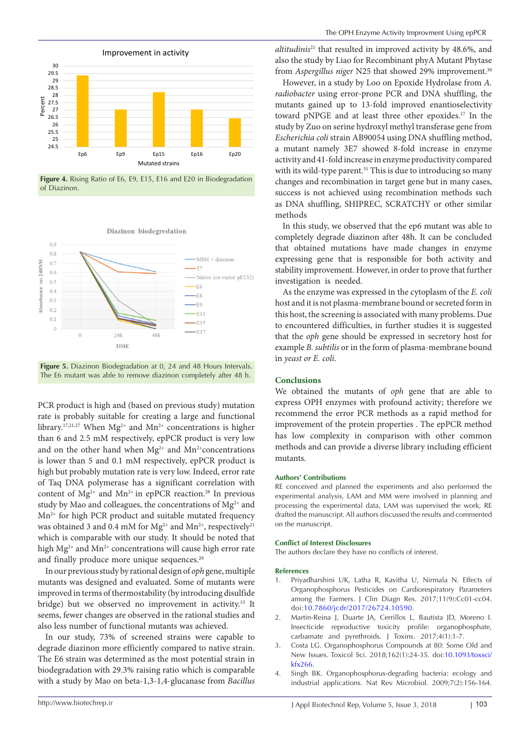

**Figure 4.** Rising Ratio of E6, E9, E15, E16 and E20 in Biodegradation of Diazinon.

Diazinon biodegredation





PCR product is high and (based on previous study) mutation rate is probably suitable for creating a large and functional library.<sup>17,21,27</sup> When Mg<sup>2+</sup> and Mn<sup>2+</sup> concentrations is higher than 6 and 2.5 mM respectively, epPCR product is very low and on the other hand when  $Mg^{2+}$  and  $Mn^{2+}$ concentrations is lower than 5 and 0.1 mM respectively, epPCR product is high but probably mutation rate is very low. Indeed, error rate of Taq DNA polymerase has a significant correlation with content of  $Mg^{2+}$  and  $Mn^{2+}$  in epPCR reaction.<sup>28</sup> In previous study by Mao and colleagues, the concentrations of  $Mg^{2+}$  and  $Mn^{2+}$  for high PCR product and suitable mutated frequency was obtained 3 and 0.4 mM for  $Mg^{2+}$  and  $Mn^{2+}$ , respectively<sup>21</sup> which is comparable with our study. It should be noted that high  $Mg^{2+}$  and  $Mn^{2+}$  concentrations will cause high error rate and finally produce more unique sequences.<sup>29</sup>

In our previous study by rational design of *oph* gene, multiple mutants was designed and evaluated. Some of mutants were improved in terms of thermostability (by introducing disulfide bridge) but we observed no improvement in activity.13 It seems, fewer changes are observed in the rational studies and also less number of functional mutants was achieved.

In our study, 73% of screened strains were capable to degrade diazinon more efficiently compared to native strain. The E6 strain was determined as the most potential strain in biodegradation with 29.3% raising ratio which is comparable with a study by Mao on beta-1,3-1,4-glucanase from *Bacillus* 

*altitudinis*21 that resulted in improved activity by 48.6%, and also the study by Liao for Recombinant phyA Mutant Phytase from *Aspergillus niger* N25 that showed 29% improvement.<sup>30</sup>

However, in a study by Loo on Epoxide Hydrolase from *A. radiobacter* using error-prone PCR and DNA shuffling, the mutants gained up to 13-fold improved enantioselectivity toward pNPGE and at least three other epoxides.17 In the study by Zuo on serine hydroxyl methyl transferase gene from *Escherichia coli* strain AB90054 using DNA shuffling method, a mutant namely 3E7 showed 8-fold increase in enzyme activity and 41-fold increase in enzyme productivity compared with its wild-type parent.<sup>31</sup> This is due to introducing so many changes and recombination in target gene but in many cases, success is not achieved using recombination methods such as DNA shuffling, SHIPREC, SCRATCHY or other similar methods

In this study, we observed that the ep6 mutant was able to completely degrade diazinon after 48h. It can be concluded that obtained mutations have made changes in enzyme expressing gene that is responsible for both activity and stability improvement. However, in order to prove that further investigation is needed.

As the enzyme was expressed in the cytoplasm of the *E. coli* host and it is not plasma-membrane bound or secreted form in this host, the screening is associated with many problems. Due to encountered difficulties, in further studies it is suggested that the *oph* gene should be expressed in secretory host for example *B. subtilis* or in the form of plasma-membrane bound in *yeast or E. coli*.

#### **Conclusions**

We obtained the mutants of *oph* gene that are able to express OPH enzymes with profound activity; therefore we recommend the error PCR methods as a rapid method for improvement of the protein properties . The epPCR method has low complexity in comparison with other common methods and can provide a diverse library including efficient mutants.

#### **Authors' Contributions**

RE conceived and planned the experiments and also performed the experimental analysis, LAM and MM were involved in planning and processing the experimental data, LAM was supervised the work, RE drafted the manuscript. All authors discussed the results and commented on the manuscript.

#### **Conflict of Interest Disclosures**

The authors declare they have no conflicts of interest.

#### **References**

- 1. Priyadharshini UK, Latha R, Kavitha U, Nirmala N. Effects of Organophosphorus Pesticides on Cardiorespiratory Parameters among the Farmers. J Clin Diagn Res. 2017;11(9):Cc01-cc04. doi[:10.7860/jcdr/2017/26724.10590](https://doi.org/10.7860/jcdr/2017/26724.10590).
- 2. Martin-Reina J, Duarte JA, Cerrillos L, Bautista JD, Moreno I. Insecticide reproductive toxicity profile: organophosphate, carbamate and pyrethroids. J Toxins. 2017;4(1):1-7.
- 3. Costa LG. Organophosphorus Compounds at 80: Some Old and New Issues. Toxicol Sci. 2018;162(1):24-35. doi[:10.1093/toxsci/](https://doi.org/10.1093/toxsci/kfx266) [kfx266](https://doi.org/10.1093/toxsci/kfx266).
- Singh BK. Organophosphorus-degrading bacteria: ecology and industrial applications. Nat Rev Microbiol. 2009;7(2):156-164.